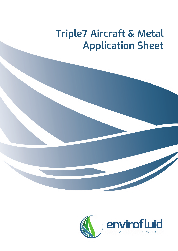# **Triple7 Aircraft & Metal Application Sheet**



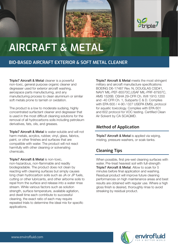



# **AIRCRAFT & METAL**

## **BIO-BASED AIRCRAFT EXTERIOR & SOFT METAL CLEANER**

**Triple7 Aircraft & Metal cleaner is a powerful** non-toxic, general purpose organic cleaner and degreaser used for exterior aircraft washing, aerospace parts manufacturing, and any manufacturing process to clean aluminium or similar soft metals prone to tarnish or oxidation.

Triple7 Aircraft & Metal is water-soluble and will not harm metals, acrylics, rubber, vinyl, glass, fabrics, paint, or other finishes and surfaces that are compatible with water. The product will not react harmfully with other cleaning or solvenating chemicals.

The product is a low to moderate sudsing, highly concentrated surfactant cleaner and degreaser that is used in the most difficult cleaning solutions for the removal of all hydrocarbons soils including petroleum derivatives, fats, oils, and greases.

Triple7 Aircraft & Metal is non-toxic, non-hazardous, non-flammable and readily biodegradable. The product does not clean by reacting with cleaning surfaces but simply causes long chain hydrocarbon soils such as JA or JP fuels, cutting or other lubricants, and other airborne soils to repel from the surface and release into a water rinse stream. While various factors such as solution strength, surface temperature, available agitation, and dwell time each contribute to successful cleaning, the exact ratio of each may require repeated trials to determine the ideal mix for specific applications.

**Triple7 Aircraft & Metal meets the most stringent** military and aircraft manufacture specifications: BOEING D6-17487 Rev. N, DOUGLAS CSD#1, NAVY MIL-PEF-85570C,USAF MIL-PRF-87937C, AMS 1526B. OSHA 29-CFR Ch. XVII 1910.1200 and -40 CFR Ch. 1, Subparts C & D. Complies with EPA 600 / 4-90 / 027 USEPA EMSL protocol for aquatic toxicology. Complies with EPA 601 and 602 protocol for VOC testing. Certified Clean Air Solvent by CA SCAQMD.

**Triple7 Aircraft & Metal is applied via wiping,** misting, pressure washers, or soak-tanks.

## **Method of Application**

# **Cleaning Tips**

When possible, first pre-wet cleaning surfaces with water. Pre-treat heaviest soil with full-strength **Triple7 Aircraft & Metal.** Allow to soak for 5 minutes before final application and washing. Residual product will improve future cleaning performances on high maintenance areas and best results are obtained with regular use. Where a high gloss finish is desired, thoroughly rinse to avoid streaking by residual product.